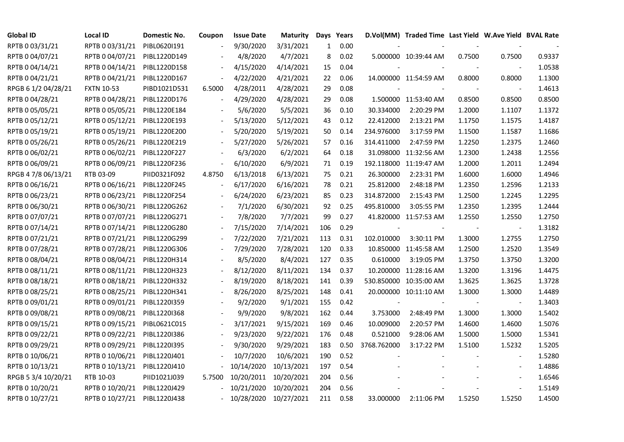| <b>Global ID</b>    | Local ID                     | Domestic No. | Coupon                   | <b>Issue Date</b>     | <b>Maturity</b> |              | Days Years |             | D.Vol(MM) Traded Time Last Yield W.Ave Yield BVAL Rate |        |                          |        |
|---------------------|------------------------------|--------------|--------------------------|-----------------------|-----------------|--------------|------------|-------------|--------------------------------------------------------|--------|--------------------------|--------|
| RPTB 0 03/31/21     | RPTB 0 03/31/21              | PIBL06201191 |                          | 9/30/2020             | 3/31/2021       | $\mathbf{1}$ | 0.00       |             |                                                        |        |                          |        |
| RPTB 0 04/07/21     | RPTB 0 04/07/21              | PIBL1220D149 |                          | 4/8/2020              | 4/7/2021        | 8            | 0.02       |             | 5.000000 10:39:44 AM                                   | 0.7500 | 0.7500                   | 0.9337 |
| RPTB 0 04/14/21     | RPTB 0 04/14/21              | PIBL1220D158 |                          | 4/15/2020             | 4/14/2021       | 15           | 0.04       |             |                                                        |        |                          | 1.0538 |
| RPTB 0 04/21/21     | RPTB 0 04/21/21              | PIBL1220D167 | $\overline{\phantom{a}}$ | 4/22/2020             | 4/21/2021       | 22           | 0.06       |             | 14.000000 11:54:59 AM                                  | 0.8000 | 0.8000                   | 1.1300 |
| RPGB 6 1/2 04/28/21 | <b>FXTN 10-53</b>            | PIBD1021D531 | 6.5000                   | 4/28/2011             | 4/28/2021       | 29           | 0.08       |             |                                                        |        |                          | 1.4613 |
| RPTB 0 04/28/21     | RPTB 0 04/28/21              | PIBL1220D176 |                          | 4/29/2020             | 4/28/2021       | 29           | 0.08       |             | 1.500000 11:53:40 AM                                   | 0.8500 | 0.8500                   | 0.8500 |
| RPTB 0 05/05/21     | RPTB 0 05/05/21              | PIBL1220E184 |                          | 5/6/2020              | 5/5/2021        | 36           | 0.10       | 30.334000   | 2:20:29 PM                                             | 1.2000 | 1.1107                   | 1.1372 |
| RPTB 0 05/12/21     | RPTB 0 05/12/21              | PIBL1220E193 |                          | 5/13/2020             | 5/12/2021       | 43           | 0.12       | 22.412000   | 2:13:21 PM                                             | 1.1750 | 1.1575                   | 1.4187 |
| RPTB 0 05/19/21     | RPTB 0 05/19/21              | PIBL1220E200 |                          | 5/20/2020             | 5/19/2021       | 50           | 0.14       | 234.976000  | 3:17:59 PM                                             | 1.1500 | 1.1587                   | 1.1686 |
| RPTB 0 05/26/21     | RPTB 0 05/26/21              | PIBL1220E219 |                          | 5/27/2020             | 5/26/2021       | 57           | 0.16       | 314.411000  | 2:47:59 PM                                             | 1.2250 | 1.2375                   | 1.2460 |
| RPTB 0 06/02/21     | RPTB 0 06/02/21              | PIBL1220F227 |                          | 6/3/2020              | 6/2/2021        | 64           | 0.18       |             | 31.098000 11:32:56 AM                                  | 1.2300 | 1.2438                   | 1.2556 |
| RPTB 0 06/09/21     | RPTB 0 06/09/21              | PIBL1220F236 | $\overline{\phantom{a}}$ | 6/10/2020             | 6/9/2021        | 71           | 0.19       |             | 192.118000 11:19:47 AM                                 | 1.2000 | 1.2011                   | 1.2494 |
| RPGB 4 7/8 06/13/21 | RTB 03-09                    | PIID0321F092 | 4.8750                   | 6/13/2018             | 6/13/2021       | 75           | 0.21       | 26.300000   | 2:23:31 PM                                             | 1.6000 | 1.6000                   | 1.4946 |
| RPTB 0 06/16/21     | RPTB 0 06/16/21              | PIBL1220F245 |                          | 6/17/2020             | 6/16/2021       | 78           | 0.21       | 25.812000   | 2:48:18 PM                                             | 1.2350 | 1.2596                   | 1.2133 |
| RPTB 0 06/23/21     | RPTB 0 06/23/21              | PIBL1220F254 |                          | 6/24/2020             | 6/23/2021       | 85           | 0.23       | 314.872000  | 2:15:43 PM                                             | 1.2500 | 1.2245                   | 1.2295 |
| RPTB 0 06/30/21     | RPTB 0 06/30/21              | PIBL1220G262 |                          | 7/1/2020              | 6/30/2021       | 92           | 0.25       | 495.810000  | 3:05:55 PM                                             | 1.2350 | 1.2395                   | 1.2444 |
| RPTB 0 07/07/21     | RPTB 0 07/07/21              | PIBL1220G271 |                          | 7/8/2020              | 7/7/2021        | 99           | 0.27       |             | 41.820000 11:57:53 AM                                  | 1.2550 | 1.2550                   | 1.2750 |
| RPTB 0 07/14/21     | RPTB 0 07/14/21              | PIBL1220G280 | $\blacksquare$           | 7/15/2020             | 7/14/2021       | 106          | 0.29       |             |                                                        |        | $\overline{\phantom{a}}$ | 1.3182 |
| RPTB 0 07/21/21     | RPTB 0 07/21/21              | PIBL1220G299 |                          | 7/22/2020             | 7/21/2021       | 113          | 0.31       | 102.010000  | 3:30:11 PM                                             | 1.3000 | 1.2755                   | 1.2750 |
| RPTB 0 07/28/21     | RPTB 0 07/28/21              | PIBL1220G306 |                          | 7/29/2020             | 7/28/2021       | 120          | 0.33       |             | 10.850000 11:45:58 AM                                  | 1.2500 | 1.2520                   | 1.3549 |
| RPTB 0 08/04/21     | RPTB 0 08/04/21              | PIBL1220H314 |                          | 8/5/2020              | 8/4/2021        | 127          | 0.35       | 0.610000    | 3:19:05 PM                                             | 1.3750 | 1.3750                   | 1.3200 |
| RPTB 0 08/11/21     | RPTB 0 08/11/21              | PIBL1220H323 |                          | 8/12/2020             | 8/11/2021       | 134          | 0.37       |             | 10.200000 11:28:16 AM                                  | 1.3200 | 1.3196                   | 1.4475 |
| RPTB 0 08/18/21     | RPTB 0 08/18/21              | PIBL1220H332 |                          | 8/19/2020             | 8/18/2021       | 141          | 0.39       |             | 530.850000 10:35:00 AM                                 | 1.3625 | 1.3625                   | 1.3728 |
| RPTB 0 08/25/21     | RPTB 0 08/25/21              | PIBL1220H341 |                          | 8/26/2020             | 8/25/2021       | 148          | 0.41       |             | 20.000000 10:11:10 AM                                  | 1.3000 | 1.3000                   | 1.4489 |
| RPTB 0 09/01/21     | RPTB 0 09/01/21              | PIBL1220I359 |                          | 9/2/2020              | 9/1/2021        | 155          | 0.42       |             |                                                        |        | $\overline{\phantom{a}}$ | 1.3403 |
| RPTB 0 09/08/21     | RPTB 0 09/08/21              | PIBL1220I368 |                          | 9/9/2020              | 9/8/2021        | 162          | 0.44       | 3.753000    | 2:48:49 PM                                             | 1.3000 | 1.3000                   | 1.5402 |
| RPTB 0 09/15/21     | RPTB 0 09/15/21              | PIBL0621C015 |                          | 3/17/2021             | 9/15/2021       | 169          | 0.46       | 10.009000   | 2:20:57 PM                                             | 1.4600 | 1.4600                   | 1.5076 |
| RPTB 0 09/22/21     | RPTB 0 09/22/21              | PIBL1220I386 |                          | 9/23/2020             | 9/22/2021       | 176          | 0.48       | 0.521000    | 9:28:06 AM                                             | 1.5000 | 1.5000                   | 1.5341 |
| RPTB 0 09/29/21     | RPTB 0 09/29/21              | PIBL1220I395 |                          | 9/30/2020             | 9/29/2021       | 183          | 0.50       | 3768.762000 | 3:17:22 PM                                             | 1.5100 | 1.5232                   | 1.5205 |
| RPTB 0 10/06/21     | RPTB 0 10/06/21              | PIBL1220J401 |                          | 10/7/2020             | 10/6/2021       | 190          | 0.52       |             |                                                        |        |                          | 1.5280 |
| RPTB 0 10/13/21     | RPTB 0 10/13/21              | PIBL1220J410 |                          | 10/14/2020            | 10/13/2021      | 197          | 0.54       |             |                                                        |        | $\overline{\phantom{a}}$ | 1.4886 |
| RPGB 5 3/4 10/20/21 | RTB 10-03                    | PIID1021J039 | 5.7500                   | 10/20/2011            | 10/20/2021      | 204          | 0.56       |             |                                                        |        | $\overline{\phantom{a}}$ | 1.6546 |
| RPTB 0 10/20/21     | RPTB 0 10/20/21              | PIBL1220J429 |                          | 10/21/2020            | 10/20/2021      | 204          | 0.56       |             |                                                        |        |                          | 1.5149 |
| RPTB 0 10/27/21     | RPTB 0 10/27/21 PIBL1220J438 |              |                          | 10/28/2020 10/27/2021 |                 | 211          | 0.58       | 33.000000   | 2:11:06 PM                                             | 1.5250 | 1.5250                   | 1.4500 |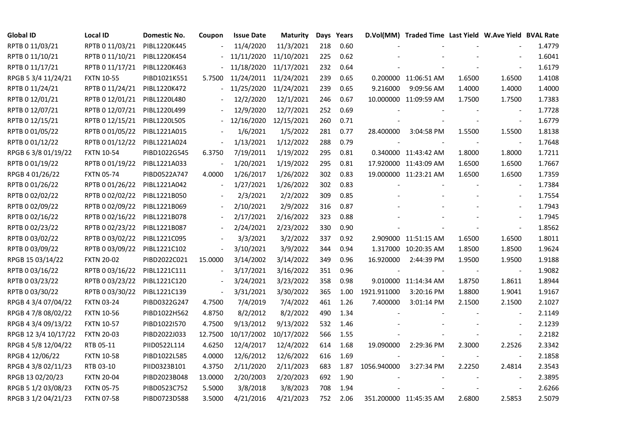| <b>Global ID</b>     | <b>Local ID</b>   | Domestic No. | Coupon                       | <b>Issue Date</b> | Maturity   |     | Days Years |             | D.Vol(MM) Traded Time Last Yield W.Ave Yield BVAL Rate |        |                          |        |
|----------------------|-------------------|--------------|------------------------------|-------------------|------------|-----|------------|-------------|--------------------------------------------------------|--------|--------------------------|--------|
| RPTB 0 11/03/21      | RPTB 0 11/03/21   | PIBL1220K445 |                              | 11/4/2020         | 11/3/2021  | 218 | 0.60       |             |                                                        |        |                          | 1.4779 |
| RPTB 0 11/10/21      | RPTB 0 11/10/21   | PIBL1220K454 |                              | 11/11/2020        | 11/10/2021 | 225 | 0.62       |             |                                                        |        |                          | 1.6041 |
| RPTB 0 11/17/21      | RPTB 0 11/17/21   | PIBL1220K463 |                              | 11/18/2020        | 11/17/2021 | 232 | 0.64       |             |                                                        |        | $\blacksquare$           | 1.6179 |
| RPGB 5 3/4 11/24/21  | <b>FXTN 10-55</b> | PIBD1021K551 | 5.7500                       | 11/24/2011        | 11/24/2021 | 239 | 0.65       |             | 0.200000 11:06:51 AM                                   | 1.6500 | 1.6500                   | 1.4108 |
| RPTB 0 11/24/21      | RPTB 0 11/24/21   | PIBL1220K472 | $\frac{1}{2}$                | 11/25/2020        | 11/24/2021 | 239 | 0.65       | 9.216000    | 9:09:56 AM                                             | 1.4000 | 1.4000                   | 1.4000 |
| RPTB 0 12/01/21      | RPTB 0 12/01/21   | PIBL1220L480 |                              | 12/2/2020         | 12/1/2021  | 246 | 0.67       |             | 10.000000 11:09:59 AM                                  | 1.7500 | 1.7500                   | 1.7383 |
| RPTB 0 12/07/21      | RPTB 0 12/07/21   | PIBL1220L499 |                              | 12/9/2020         | 12/7/2021  | 252 | 0.69       |             |                                                        |        | $\sim$                   | 1.7728 |
| RPTB 0 12/15/21      | RPTB 0 12/15/21   | PIBL1220L505 |                              | 12/16/2020        | 12/15/2021 | 260 | 0.71       |             |                                                        |        | $\overline{\phantom{a}}$ | 1.6779 |
| RPTB 0 01/05/22      | RPTB 0 01/05/22   | PIBL1221A015 |                              | 1/6/2021          | 1/5/2022   | 281 | 0.77       | 28.400000   | 3:04:58 PM                                             | 1.5500 | 1.5500                   | 1.8138 |
| RPTB 0 01/12/22      | RPTB 0 01/12/22   | PIBL1221A024 | $\qquad \qquad \blacksquare$ | 1/13/2021         | 1/12/2022  | 288 | 0.79       |             |                                                        |        |                          | 1.7648 |
| RPGB 63/8 01/19/22   | <b>FXTN 10-54</b> | PIBD1022G545 | 6.3750                       | 7/19/2011         | 1/19/2022  | 295 | 0.81       |             | 0.340000 11:43:42 AM                                   | 1.8000 | 1.8000                   | 1.7211 |
| RPTB 0 01/19/22      | RPTB 0 01/19/22   | PIBL1221A033 |                              | 1/20/2021         | 1/19/2022  | 295 | 0.81       |             | 17.920000 11:43:09 AM                                  | 1.6500 | 1.6500                   | 1.7667 |
| RPGB 4 01/26/22      | <b>FXTN 05-74</b> | PIBD0522A747 | 4.0000                       | 1/26/2017         | 1/26/2022  | 302 | 0.83       |             | 19.000000 11:23:21 AM                                  | 1.6500 | 1.6500                   | 1.7359 |
| RPTB 0 01/26/22      | RPTB 0 01/26/22   | PIBL1221A042 | $\overline{\phantom{a}}$     | 1/27/2021         | 1/26/2022  | 302 | 0.83       |             |                                                        |        | $\blacksquare$           | 1.7384 |
| RPTB 0 02/02/22      | RPTB 0 02/02/22   | PIBL1221B050 |                              | 2/3/2021          | 2/2/2022   | 309 | 0.85       |             |                                                        |        | $\blacksquare$           | 1.7554 |
| RPTB 0 02/09/22      | RPTB 0 02/09/22   | PIBL1221B069 |                              | 2/10/2021         | 2/9/2022   | 316 | 0.87       |             |                                                        |        |                          | 1.7943 |
| RPTB 0 02/16/22      | RPTB 0 02/16/22   | PIBL1221B078 |                              | 2/17/2021         | 2/16/2022  | 323 | 0.88       |             |                                                        |        | $\overline{\phantom{a}}$ | 1.7945 |
| RPTB 0 02/23/22      | RPTB 0 02/23/22   | PIBL1221B087 | $\blacksquare$               | 2/24/2021         | 2/23/2022  | 330 | 0.90       |             |                                                        |        | $\blacksquare$           | 1.8562 |
| RPTB 0 03/02/22      | RPTB 0 03/02/22   | PIBL1221C095 |                              | 3/3/2021          | 3/2/2022   | 337 | 0.92       |             | 2.909000 11:51:15 AM                                   | 1.6500 | 1.6500                   | 1.8011 |
| RPTB 0 03/09/22      | RPTB 0 03/09/22   | PIBL1221C102 | $\Box$                       | 3/10/2021         | 3/9/2022   | 344 | 0.94       |             | 1.317000 10:20:35 AM                                   | 1.8500 | 1.8500                   | 1.9624 |
| RPGB 15 03/14/22     | <b>FXTN 20-02</b> | PIBD2022C021 | 15.0000                      | 3/14/2002         | 3/14/2022  | 349 | 0.96       | 16.920000   | 2:44:39 PM                                             | 1.9500 | 1.9500                   | 1.9188 |
| RPTB 0 03/16/22      | RPTB 0 03/16/22   | PIBL1221C111 | $\overline{\phantom{a}}$     | 3/17/2021         | 3/16/2022  | 351 | 0.96       |             |                                                        |        | $\blacksquare$           | 1.9082 |
| RPTB 0 03/23/22      | RPTB 0 03/23/22   | PIBL1221C120 |                              | 3/24/2021         | 3/23/2022  | 358 | 0.98       |             | 9.010000 11:14:34 AM                                   | 1.8750 | 1.8611                   | 1.8944 |
| RPTB 0 03/30/22      | RPTB 0 03/30/22   | PIBL1221C139 | $\blacksquare$               | 3/31/2021         | 3/30/2022  | 365 | 1.00       | 1921.911000 | 3:20:16 PM                                             | 1.8800 | 1.9041                   | 1.9167 |
| RPGB 4 3/4 07/04/22  | <b>FXTN 03-24</b> | PIBD0322G247 | 4.7500                       | 7/4/2019          | 7/4/2022   | 461 | 1.26       | 7.400000    | 3:01:14 PM                                             | 2.1500 | 2.1500                   | 2.1027 |
| RPGB 4 7/8 08/02/22  | <b>FXTN 10-56</b> | PIBD1022H562 | 4.8750                       | 8/2/2012          | 8/2/2022   | 490 | 1.34       |             |                                                        |        |                          | 2.1149 |
| RPGB 4 3/4 09/13/22  | <b>FXTN 10-57</b> | PIBD1022I570 | 4.7500                       | 9/13/2012         | 9/13/2022  | 532 | 1.46       |             |                                                        |        | $\overline{\phantom{a}}$ | 2.1239 |
| RPGB 12 3/4 10/17/22 | <b>FXTN 20-03</b> | PIBD2022J033 | 12.7500                      | 10/17/2002        | 10/17/2022 | 566 | 1.55       |             |                                                        |        | $\blacksquare$           | 2.2182 |
| RPGB 4 5/8 12/04/22  | RTB 05-11         | PIID0522L114 | 4.6250                       | 12/4/2017         | 12/4/2022  | 614 | 1.68       | 19.090000   | 2:29:36 PM                                             | 2.3000 | 2.2526                   | 2.3342 |
| RPGB 4 12/06/22      | <b>FXTN 10-58</b> | PIBD1022L585 | 4.0000                       | 12/6/2012         | 12/6/2022  | 616 | 1.69       |             |                                                        |        |                          | 2.1858 |
| RPGB 4 3/8 02/11/23  | RTB 03-10         | PIID0323B101 | 4.3750                       | 2/11/2020         | 2/11/2023  | 683 | 1.87       | 1056.940000 | 3:27:34 PM                                             | 2.2250 | 2.4814                   | 2.3543 |
| RPGB 13 02/20/23     | <b>FXTN 20-04</b> | PIBD2023B048 | 13.0000                      | 2/20/2003         | 2/20/2023  | 692 | 1.90       |             |                                                        |        | $\overline{\phantom{a}}$ | 2.3895 |
| RPGB 5 1/2 03/08/23  | <b>FXTN 05-75</b> | PIBD0523C752 | 5.5000                       | 3/8/2018          | 3/8/2023   | 708 | 1.94       |             |                                                        |        |                          | 2.6266 |
| RPGB 3 1/2 04/21/23  | <b>FXTN 07-58</b> | PIBD0723D588 | 3.5000                       | 4/21/2016         | 4/21/2023  | 752 | 2.06       |             | 351.200000 11:45:35 AM                                 | 2.6800 | 2.5853                   | 2.5079 |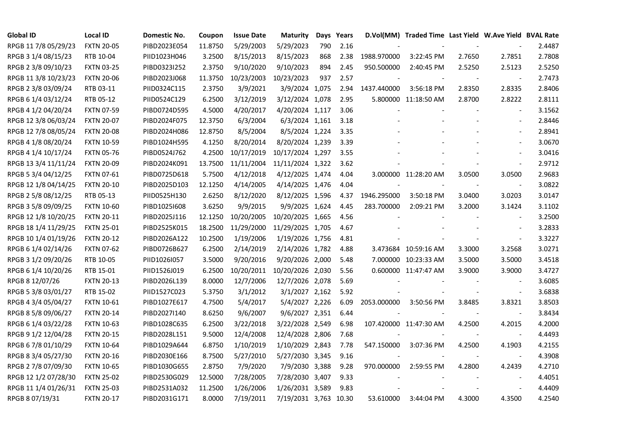| <b>Global ID</b>     | <b>Local ID</b>   | Domestic No. | Coupon  | <b>Issue Date</b> | <b>Maturity</b>       |     | Days Years |             | D.Vol(MM) Traded Time Last Yield W.Ave Yield BVAL Rate |        |                          |        |
|----------------------|-------------------|--------------|---------|-------------------|-----------------------|-----|------------|-------------|--------------------------------------------------------|--------|--------------------------|--------|
| RPGB 11 7/8 05/29/23 | <b>FXTN 20-05</b> | PIBD2023E054 | 11.8750 | 5/29/2003         | 5/29/2023             | 790 | 2.16       |             |                                                        |        |                          | 2.4487 |
| RPGB 3 1/4 08/15/23  | RTB 10-04         | PIID1023H046 | 3.2500  | 8/15/2013         | 8/15/2023             | 868 | 2.38       | 1988.970000 | 3:22:45 PM                                             | 2.7650 | 2.7851                   | 2.7808 |
| RPGB 2 3/8 09/10/23  | <b>FXTN 03-25</b> | PIBD0323I252 | 2.3750  | 9/10/2020         | 9/10/2023             | 894 | 2.45       | 950.500000  | 2:40:45 PM                                             | 2.5250 | 2.5123                   | 2.5250 |
| RPGB 11 3/8 10/23/23 | <b>FXTN 20-06</b> | PIBD2023J068 | 11.3750 | 10/23/2003        | 10/23/2023            | 937 | 2.57       |             |                                                        |        | $\overline{\phantom{a}}$ | 2.7473 |
| RPGB 2 3/8 03/09/24  | RTB 03-11         | PIID0324C115 | 2.3750  | 3/9/2021          | 3/9/2024 1,075        |     | 2.94       | 1437.440000 | 3:56:18 PM                                             | 2.8350 | 2.8335                   | 2.8406 |
| RPGB 6 1/4 03/12/24  | RTB 05-12         | PIID0524C129 | 6.2500  | 3/12/2019         | 3/12/2024 1,078       |     | 2.95       |             | 5.800000 11:18:50 AM                                   | 2.8700 | 2.8222                   | 2.8111 |
| RPGB 4 1/2 04/20/24  | <b>FXTN 07-59</b> | PIBD0724D595 | 4.5000  | 4/20/2017         | 4/20/2024 1,117       |     | 3.06       |             |                                                        |        | $\blacksquare$           | 3.1562 |
| RPGB 12 3/8 06/03/24 | <b>FXTN 20-07</b> | PIBD2024F075 | 12.3750 | 6/3/2004          | 6/3/2024 1,161        |     | 3.18       |             |                                                        |        | $\overline{\phantom{a}}$ | 2.8446 |
| RPGB 12 7/8 08/05/24 | <b>FXTN 20-08</b> | PIBD2024H086 | 12.8750 | 8/5/2004          | 8/5/2024 1,224        |     | 3.35       |             |                                                        |        |                          | 2.8941 |
| RPGB 4 1/8 08/20/24  | <b>FXTN 10-59</b> | PIBD1024H595 | 4.1250  | 8/20/2014         | 8/20/2024 1,239       |     | 3.39       |             |                                                        |        | $\overline{\phantom{a}}$ | 3.0670 |
| RPGB 4 1/4 10/17/24  | <b>FXTN 05-76</b> | PIBD0524J762 | 4.2500  | 10/17/2019        | 10/17/2024 1,297      |     | 3.55       |             |                                                        |        | $\overline{a}$           | 3.0416 |
| RPGB 13 3/4 11/11/24 | <b>FXTN 20-09</b> | PIBD2024K091 | 13.7500 | 11/11/2004        | 11/11/2024 1,322      |     | 3.62       |             |                                                        |        | $\blacksquare$           | 2.9712 |
| RPGB 5 3/4 04/12/25  | <b>FXTN 07-61</b> | PIBD0725D618 | 5.7500  | 4/12/2018         | 4/12/2025 1,474       |     | 4.04       |             | 3.000000 11:28:20 AM                                   | 3.0500 | 3.0500                   | 2.9683 |
| RPGB 12 1/8 04/14/25 | <b>FXTN 20-10</b> | PIBD2025D103 | 12.1250 | 4/14/2005         | 4/14/2025 1,476       |     | 4.04       |             |                                                        |        | $\sim$                   | 3.0822 |
| RPGB 2 5/8 08/12/25  | RTB 05-13         | PIID0525H130 | 2.6250  | 8/12/2020         | 8/12/2025 1,596       |     | 4.37       | 1946.295000 | 3:50:18 PM                                             | 3.0400 | 3.0203                   | 3.0147 |
| RPGB 3 5/8 09/09/25  | <b>FXTN 10-60</b> | PIBD10251608 | 3.6250  | 9/9/2015          | 9/9/2025 1,624        |     | 4.45       | 283.700000  | 2:09:21 PM                                             | 3.2000 | 3.1424                   | 3.1102 |
| RPGB 12 1/8 10/20/25 | <b>FXTN 20-11</b> | PIBD2025J116 | 12.1250 | 10/20/2005        | 10/20/2025 1,665      |     | 4.56       |             |                                                        |        | $\overline{\phantom{a}}$ | 3.2500 |
| RPGB 18 1/4 11/29/25 | <b>FXTN 25-01</b> | PIBD2525K015 | 18.2500 | 11/29/2000        | 11/29/2025 1,705      |     | 4.67       |             |                                                        |        | $\overline{\phantom{a}}$ | 3.2833 |
| RPGB 10 1/4 01/19/26 | <b>FXTN 20-12</b> | PIBD2026A122 | 10.2500 | 1/19/2006         | 1/19/2026 1,756       |     | 4.81       |             |                                                        |        | $\sim$                   | 3.3227 |
| RPGB 6 1/4 02/14/26  | <b>FXTN 07-62</b> | PIBD0726B627 | 6.2500  | 2/14/2019         | 2/14/2026 1,782       |     | 4.88       |             | 3.473684 10:59:16 AM                                   | 3.3000 | 3.2568                   | 3.0271 |
| RPGB 3 1/2 09/20/26  | RTB 10-05         | PIID1026I057 | 3.5000  | 9/20/2016         | 9/20/2026 2,000       |     | 5.48       |             | 7.000000 10:23:33 AM                                   | 3.5000 | 3.5000                   | 3.4518 |
| RPGB 6 1/4 10/20/26  | RTB 15-01         | PIID1526J019 | 6.2500  | 10/20/2011        | 10/20/2026 2,030      |     | 5.56       |             | 0.600000 11:47:47 AM                                   | 3.9000 | 3.9000                   | 3.4727 |
| RPGB 8 12/07/26      | <b>FXTN 20-13</b> | PIBD2026L139 | 8.0000  | 12/7/2006         | 12/7/2026 2,078       |     | 5.69       |             |                                                        |        |                          | 3.6085 |
| RPGB 5 3/8 03/01/27  | RTB 15-02         | PIID1527C023 | 5.3750  | 3/1/2012          | 3/1/2027 2,162        |     | 5.92       |             |                                                        |        | $\blacksquare$           | 3.6838 |
| RPGB 4 3/4 05/04/27  | <b>FXTN 10-61</b> | PIBD1027E617 | 4.7500  | 5/4/2017          | 5/4/2027 2,226        |     | 6.09       | 2053.000000 | 3:50:56 PM                                             | 3.8485 | 3.8321                   | 3.8503 |
| RPGB 8 5/8 09/06/27  | <b>FXTN 20-14</b> | PIBD2027I140 | 8.6250  | 9/6/2007          | 9/6/2027 2,351        |     | 6.44       |             |                                                        |        | $\blacksquare$           | 3.8434 |
| RPGB 6 1/4 03/22/28  | <b>FXTN 10-63</b> | PIBD1028C635 | 6.2500  | 3/22/2018         | 3/22/2028 2,549       |     | 6.98       |             | 107.420000 11:47:30 AM                                 | 4.2500 | 4.2015                   | 4.2000 |
| RPGB 9 1/2 12/04/28  | <b>FXTN 20-15</b> | PIBD2028L151 | 9.5000  | 12/4/2008         | 12/4/2028 2,806       |     | 7.68       |             |                                                        |        | $\blacksquare$           | 4.4493 |
| RPGB 67/8 01/10/29   | <b>FXTN 10-64</b> | PIBD1029A644 | 6.8750  | 1/10/2019         | 1/10/2029 2,843       |     | 7.78       | 547.150000  | 3:07:36 PM                                             | 4.2500 | 4.1903                   | 4.2155 |
| RPGB 8 3/4 05/27/30  | <b>FXTN 20-16</b> | PIBD2030E166 | 8.7500  | 5/27/2010         | 5/27/2030 3,345       |     | 9.16       |             |                                                        |        |                          | 4.3908 |
| RPGB 2 7/8 07/09/30  | <b>FXTN 10-65</b> | PIBD1030G655 | 2.8750  | 7/9/2020          | 7/9/2030 3,388        |     | 9.28       | 970.000000  | 2:59:55 PM                                             | 4.2800 | 4.2439                   | 4.2710 |
| RPGB 12 1/2 07/28/30 | <b>FXTN 25-02</b> | PIBD2530G029 | 12.5000 | 7/28/2005         | 7/28/2030 3,407       |     | 9.33       |             |                                                        |        | $\overline{\phantom{a}}$ | 4.4051 |
| RPGB 11 1/4 01/26/31 | <b>FXTN 25-03</b> | PIBD2531A032 | 11.2500 | 1/26/2006         | 1/26/2031 3,589       |     | 9.83       |             |                                                        |        | $\sim$                   | 4.4409 |
| RPGB 8 07/19/31      | <b>FXTN 20-17</b> | PIBD2031G171 | 8.0000  | 7/19/2011         | 7/19/2031 3,763 10.30 |     |            | 53.610000   | 3:44:04 PM                                             | 4.3000 | 4.3500                   | 4.2540 |